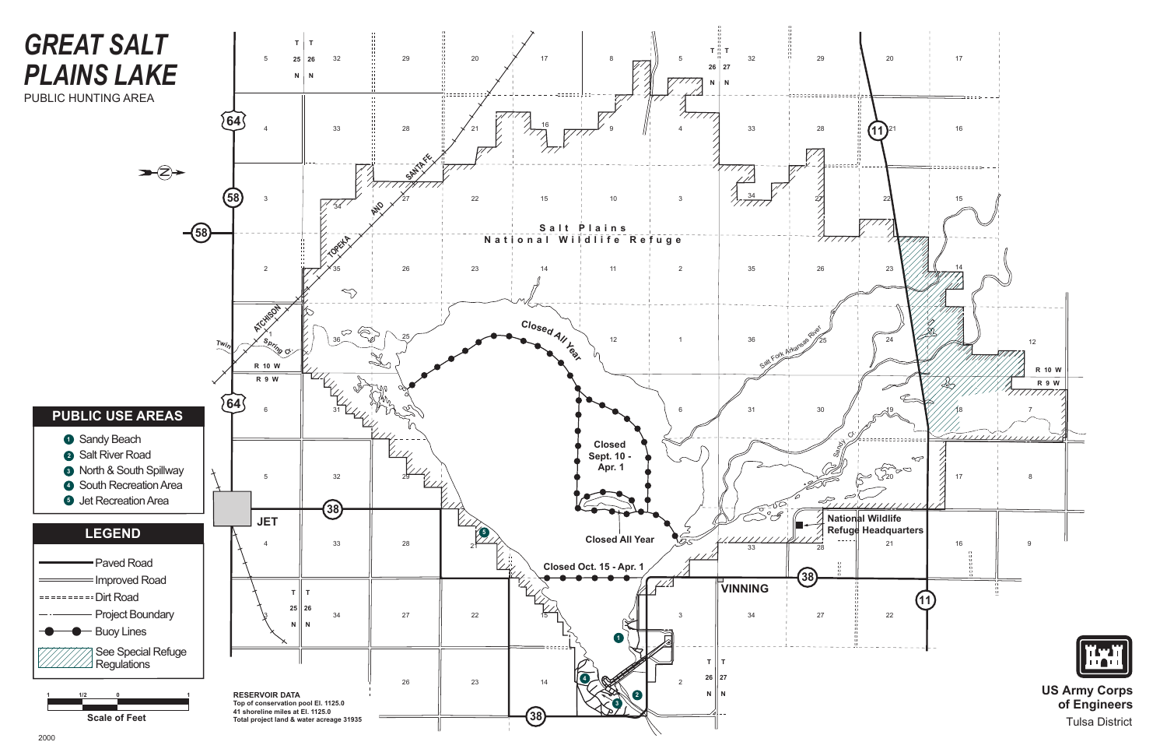